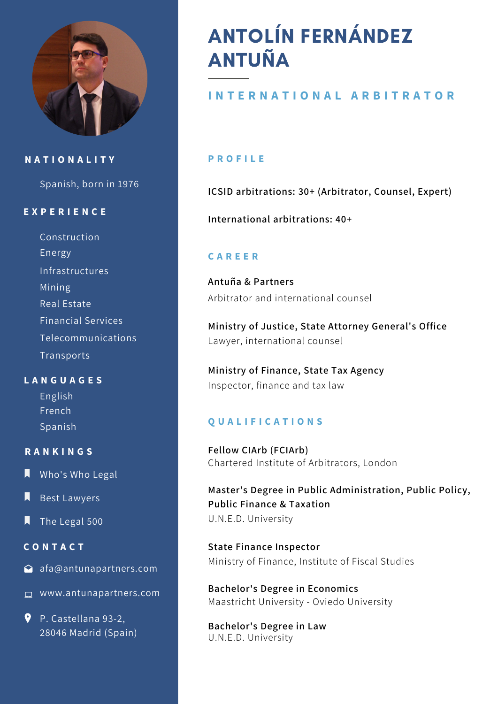

## **N A T I O N A L I T Y**

Spanish, born in 1976

## **E X P E R I E N C E**

Construction Telecommunications Energy Infrastructures Transports Mining Real Estate Financial Services

## **L A N G U A G E S**

English French Spanish

#### **R A N K I N G S**

- **N** Who's Who Legal
- Best Lawyers
- The Legal 500

## **C O N T A C T**

- △ afa@antunapartners.com
- www.antunapartners.com
- P. Castellana 93-2, 28046 Madrid (Spain)

# ANTOLÍN FERNÁNDEZ ANTUÑA

## **I N T E R N A T I O N A L A R B I T R A T O R**

#### **P R O F I L E**

**ICSID arbitrations: 30+ (Arbitrator, Counsel, Expert)**

**International arbitrations: 40+**

## **C A R E E R**

**Antuña & Partners** Arbitrator and international counsel

**Ministry of Justice, State Attorney General's Office** Lawyer, international counsel

**Ministry of Finance, State Tax Agency** Inspector, finance and tax law

#### **Q U A L I F I C A T I O N S**

**Fellow CIArb (FCIArb)** Chartered Institute of Arbitrators, London

**Master's Degree in Public Administration, Public Policy, Public Finance & Taxation** U.N.E.D. University

**State Finance Inspector** Ministry of Finance, Institute of Fiscal Studies

Maastricht University - Oviedo University **Bachelor's Degree in Economics**

U.N.E.D. University **Bachelor's Degree in Law**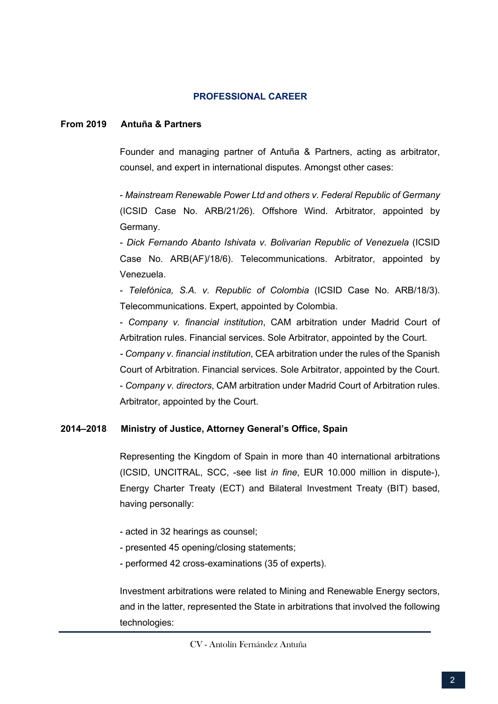#### **PROFESSIONAL CAREER**

#### **From 2019 Antuña & Partners**

Founder and managing partner of Antuña & Partners, acting as arbitrator, counsel, and expert in international disputes. Amongst other cases:

- *Mainstream Renewable Power Ltd and others v. Federal Republic of Germany* (ICSID Case No. ARB/21/26). Offshore Wind. Arbitrator, appointed by Germany.

- *Dick Fernando Abanto Ishivata v. Bolivarian Republic of Venezuela* (ICSID Case No. ARB(AF)/18/6). Telecommunications. Arbitrator, appointed by Venezuela.

- *Telefónica, S.A. v. Republic of Colombia* (ICSID Case No. ARB/18/3). Telecommunications. Expert, appointed by Colombia.

- *Company v. financial institution*, CAM arbitration under Madrid Court of Arbitration rules. Financial services. Sole Arbitrator, appointed by the Court.

*- Company v. financial institution*, CEA arbitration under the rules of the Spanish Court of Arbitration. Financial services. Sole Arbitrator, appointed by the Court. - *Company v. directors*, CAM arbitration under Madrid Court of Arbitration rules. Arbitrator, appointed by the Court.

#### **2014–2018 Ministry of Justice, Attorney General's Office, Spain**

Representing the Kingdom of Spain in more than 40 international arbitrations (ICSID, UNCITRAL, SCC, -see list *in fine*, EUR 10.000 million in dispute-), Energy Charter Treaty (ECT) and Bilateral Investment Treaty (BIT) based, having personally:

- acted in 32 hearings as counsel;
- presented 45 opening/closing statements;
- performed 42 cross-examinations (35 of experts).

Investment arbitrations were related to Mining and Renewable Energy sectors, and in the latter, represented the State in arbitrations that involved the following technologies:

CV - Antolín Fernández Antuña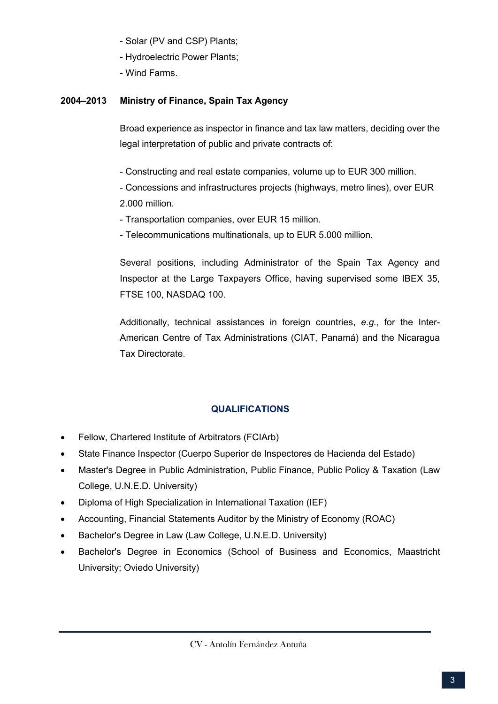- Solar (PV and CSP) Plants;
- Hydroelectric Power Plants;
- Wind Farms.

## **2004–2013 Ministry of Finance, Spain Tax Agency**

Broad experience as inspector in finance and tax law matters, deciding over the legal interpretation of public and private contracts of:

- Constructing and real estate companies, volume up to EUR 300 million.
- Concessions and infrastructures projects (highways, metro lines), over EUR 2.000 million.
- Transportation companies, over EUR 15 million.
- Telecommunications multinationals, up to EUR 5.000 million.

Several positions, including Administrator of the Spain Tax Agency and Inspector at the Large Taxpayers Office, having supervised some IBEX 35, FTSE 100, NASDAQ 100.

Additionally, technical assistances in foreign countries, *e.g.*, for the Inter-American Centre of Tax Administrations (CIAT, Panamá) and the Nicaragua Tax Directorate.

## **QUALIFICATIONS**

- Fellow, Chartered Institute of Arbitrators (FCIArb)
- State Finance Inspector (Cuerpo Superior de Inspectores de Hacienda del Estado)
- Master's Degree in Public Administration, Public Finance, Public Policy & Taxation (Law College, U.N.E.D. University)
- Diploma of High Specialization in International Taxation (IEF)
- Accounting, Financial Statements Auditor by the Ministry of Economy (ROAC)
- Bachelor's Degree in Law (Law College, U.N.E.D. University)
- Bachelor's Degree in Economics (School of Business and Economics, Maastricht University; Oviedo University)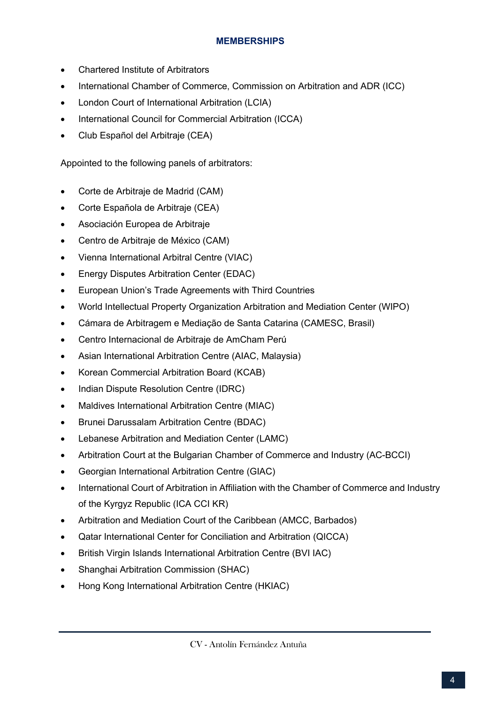## **MEMBERSHIPS**

- Chartered Institute of Arbitrators
- International Chamber of Commerce, Commission on Arbitration and ADR (ICC)
- London Court of International Arbitration (LCIA)
- International Council for Commercial Arbitration (ICCA)
- Club Español del Arbitraje (CEA)

Appointed to the following panels of arbitrators:

- Corte de Arbitraje de Madrid (CAM)
- Corte Española de Arbitraje (CEA)
- Asociación Europea de Arbitraje
- Centro de Arbitraje de México (CAM)
- Vienna International Arbitral Centre (VIAC)
- Energy Disputes Arbitration Center (EDAC)
- European Union's Trade Agreements with Third Countries
- World Intellectual Property Organization Arbitration and Mediation Center (WIPO)
- Cámara de Arbitragem e Mediação de Santa Catarina (CAMESC, Brasil)
- Centro Internacional de Arbitraje de AmCham Perú
- Asian International Arbitration Centre (AIAC, Malaysia)
- Korean Commercial Arbitration Board (KCAB)
- Indian Dispute Resolution Centre (IDRC)
- Maldives International Arbitration Centre (MIAC)
- Brunei Darussalam Arbitration Centre (BDAC)
- Lebanese Arbitration and Mediation Center (LAMC)
- Arbitration Court at the Bulgarian Chamber of Commerce and Industry (AC-BCCI)
- Georgian International Arbitration Centre (GIAC)
- International Court of Arbitration in Affiliation with the Chamber of Commerce and Industry of the Kyrgyz Republic (ICA CCI KR)
- Arbitration and Mediation Court of the Caribbean (AMCC, Barbados)
- Qatar International Center for Conciliation and Arbitration (QICCA)
- British Virgin Islands International Arbitration Centre (BVI IAC)
- Shanghai Arbitration Commission (SHAC)
- Hong Kong International Arbitration Centre (HKIAC)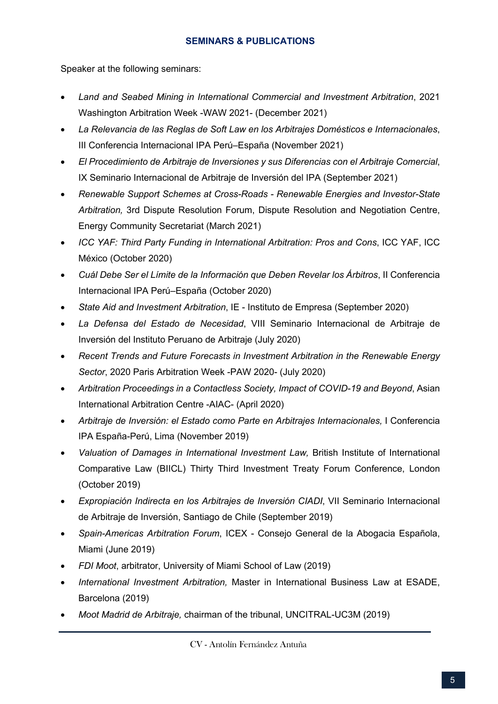## **SEMINARS & PUBLICATIONS**

Speaker at the following seminars:

- *Land and Seabed Mining in International Commercial and Investment Arbitration*, 2021 Washington Arbitration Week -WAW 2021- (December 2021)
- *La Relevancia de las Reglas de Soft Law en los Arbitrajes Domésticos e Internacionales*, III Conferencia Internacional IPA Perú–España (November 2021)
- *El Procedimiento de Arbitraje de Inversiones y sus Diferencias con el Arbitraje Comercial*, IX Seminario Internacional de Arbitraje de Inversión del IPA (September 2021)
- *Renewable Support Schemes at Cross-Roads - Renewable Energies and Investor-State Arbitration,* 3rd Dispute Resolution Forum, Dispute Resolution and Negotiation Centre, Energy Community Secretariat (March 2021)
- *ICC YAF: Third Party Funding in International Arbitration: Pros and Cons*, ICC YAF, ICC México (October 2020)
- *Cuál Debe Ser el Límite de la Información que Deben Revelar los Árbitros*, II Conferencia Internacional IPA Perú–España (October 2020)
- *State Aid and Investment Arbitration*, IE Instituto de Empresa (September 2020)
- *La Defensa del Estado de Necesidad*, VIII Seminario Internacional de Arbitraje de Inversión del Instituto Peruano de Arbitraje (July 2020)
- *Recent Trends and Future Forecasts in Investment Arbitration in the Renewable Energy Sector*, 2020 Paris Arbitration Week -PAW 2020- (July 2020)
- *Arbitration Proceedings in a Contactless Society, Impact of COVID-19 and Beyond*, Asian International Arbitration Centre -AIAC- (April 2020)
- *Arbitraje de Inversión: el Estado como Parte en Arbitrajes Internacionales,* I Conferencia IPA España-Perú, Lima (November 2019)
- *Valuation of Damages in International Investment Law*, British Institute of International Comparative Law (BIICL) Thirty Third Investment Treaty Forum Conference, London (October 2019)
- *Expropiación Indirecta en los Arbitrajes de Inversión CIADI*, VII Seminario Internacional de Arbitraje de Inversión, Santiago de Chile (September 2019)
- *Spain-Americas Arbitration Forum*, ICEX Consejo General de la Abogacia Española, Miami (June 2019)
- *FDI Moot*, arbitrator, University of Miami School of Law (2019)
- *International Investment Arbitration,* Master in International Business Law at ESADE, Barcelona (2019)
- *Moot Madrid de Arbitraje,* chairman of the tribunal, UNCITRAL-UC3M (2019)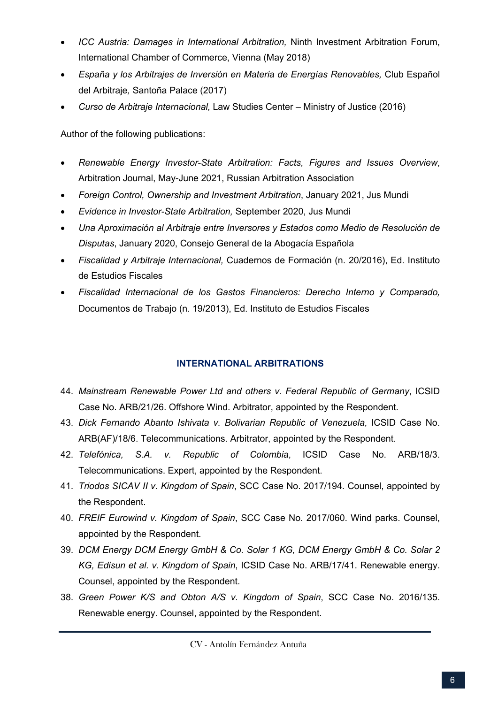- *ICC Austria: Damages in International Arbitration,* Ninth Investment Arbitration Forum, International Chamber of Commerce, Vienna (May 2018)
- *España y los Arbitrajes de Inversión en Materia de Energías Renovables,* Club Español del Arbitraje*,* Santoña Palace (2017)
- *Curso de Arbitraje Internacional,* Law Studies Center Ministry of Justice (2016)

Author of the following publications:

- *Renewable Energy Investor-State Arbitration: Facts, Figures and Issues Overview*, Arbitration Journal, May-June 2021, Russian Arbitration Association
- *Foreign Control, Ownership and Investment Arbitration*, January 2021, Jus Mundi
- *Evidence in Investor-State Arbitration,* September 2020, Jus Mundi
- *Una Aproximación al Arbitraje entre Inversores y Estados como Medio de Resolución de Disputas*, January 2020, Consejo General de la Abogacía Española
- *Fiscalidad y Arbitraje Internacional,* Cuadernos de Formación (n. 20/2016), Ed. Instituto de Estudios Fiscales
- *Fiscalidad Internacional de los Gastos Financieros: Derecho Interno y Comparado,*  Documentos de Trabajo (n. 19/2013), Ed. Instituto de Estudios Fiscales

## **INTERNATIONAL ARBITRATIONS**

- 44. *Mainstream Renewable Power Ltd and others v. Federal Republic of Germany*, ICSID Case No. ARB/21/26. Offshore Wind. Arbitrator, appointed by the Respondent.
- 43. *Dick Fernando Abanto Ishivata v. Bolivarian Republic of Venezuela*, ICSID Case No. ARB(AF)/18/6. Telecommunications. Arbitrator, appointed by the Respondent.
- 42. *Telefónica, S.A. v. Republic of Colombia*, ICSID Case No. ARB/18/3. Telecommunications. Expert, appointed by the Respondent.
- 41. *Triodos SICAV II v. Kingdom of Spain*, SCC Case No. 2017/194. Counsel, appointed by the Respondent.
- 40. *FREIF Eurowind v. Kingdom of Spain*, SCC Case No. 2017/060. Wind parks. Counsel, appointed by the Respondent.
- 39. *DCM Energy DCM Energy GmbH & Co. Solar 1 KG, DCM Energy GmbH & Co. Solar 2 KG, Edisun et al. v. Kingdom of Spain*, ICSID Case No. ARB/17/41. Renewable energy. Counsel, appointed by the Respondent.
- 38. *Green Power K/S and Obton A/S v. Kingdom of Spain*, SCC Case No. 2016/135. Renewable energy. Counsel, appointed by the Respondent.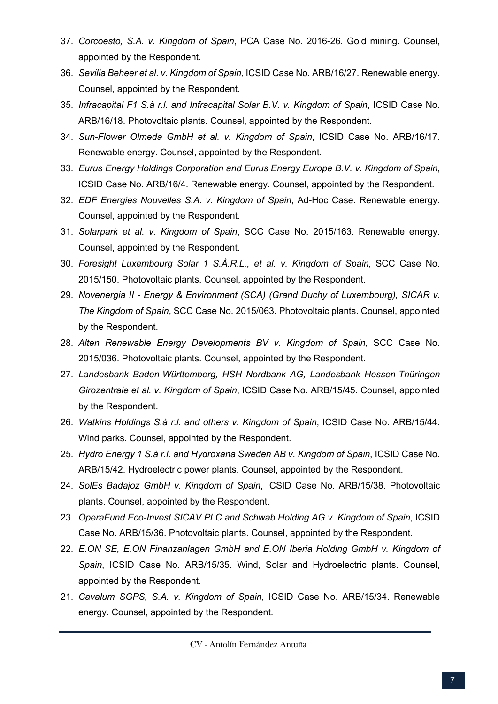- 37. *Corcoesto, S.A. v. Kingdom of Spain*, PCA Case No. 2016-26. Gold mining. Counsel, appointed by the Respondent.
- 36. *Sevilla Beheer et al. v. Kingdom of Spain*, ICSID Case No. ARB/16/27. Renewable energy. Counsel, appointed by the Respondent.
- 35. *Infracapital F1 S.à r.l. and Infracapital Solar B.V. v. Kingdom of Spain*, ICSID Case No. ARB/16/18. Photovoltaic plants. Counsel, appointed by the Respondent.
- 34. *Sun-Flower Olmeda GmbH et al. v. Kingdom of Spain*, ICSID Case No. ARB/16/17. Renewable energy. Counsel, appointed by the Respondent.
- 33. *Eurus Energy Holdings Corporation and Eurus Energy Europe B.V. v. Kingdom of Spain*, ICSID Case No. ARB/16/4. Renewable energy. Counsel, appointed by the Respondent.
- 32. *EDF Energies Nouvelles S.A. v. Kingdom of Spain*, Ad-Hoc Case. Renewable energy. Counsel, appointed by the Respondent.
- 31. *Solarpark et al. v. Kingdom of Spain*, SCC Case No. 2015/163. Renewable energy. Counsel, appointed by the Respondent.
- 30. *Foresight Luxembourg Solar 1 S.À.R.L., et al. v. Kingdom of Spain*, SCC Case No. 2015/150. Photovoltaic plants. Counsel, appointed by the Respondent.
- 29. *Novenergia II - Energy & Environment (SCA) (Grand Duchy of Luxembourg), SICAR v. The Kingdom of Spain*, SCC Case No. 2015/063. Photovoltaic plants. Counsel, appointed by the Respondent.
- 28. *Alten Renewable Energy Developments BV v. Kingdom of Spain*, SCC Case No. 2015/036. Photovoltaic plants. Counsel, appointed by the Respondent.
- 27. *Landesbank Baden-Württemberg, HSH Nordbank AG, Landesbank Hessen-Thüringen Girozentrale et al. v. Kingdom of Spain*, ICSID Case No. ARB/15/45. Counsel, appointed by the Respondent.
- 26. *Watkins Holdings S.à r.l. and others v. Kingdom of Spain*, ICSID Case No. ARB/15/44. Wind parks. Counsel, appointed by the Respondent.
- 25. *Hydro Energy 1 S.à r.l. and Hydroxana Sweden AB v. Kingdom of Spain*, ICSID Case No. ARB/15/42. Hydroelectric power plants. Counsel, appointed by the Respondent.
- 24. *SolEs Badajoz GmbH v. Kingdom of Spain*, ICSID Case No. ARB/15/38. Photovoltaic plants. Counsel, appointed by the Respondent.
- 23. *OperaFund Eco-Invest SICAV PLC and Schwab Holding AG v. Kingdom of Spain*, ICSID Case No. ARB/15/36. Photovoltaic plants. Counsel, appointed by the Respondent.
- 22. *E.ON SE, E.ON Finanzanlagen GmbH and E.ON Iberia Holding GmbH v. Kingdom of Spain*, ICSID Case No. ARB/15/35. Wind, Solar and Hydroelectric plants. Counsel, appointed by the Respondent.
- 21. *Cavalum SGPS, S.A. v. Kingdom of Spain*, ICSID Case No. ARB/15/34. Renewable energy. Counsel, appointed by the Respondent.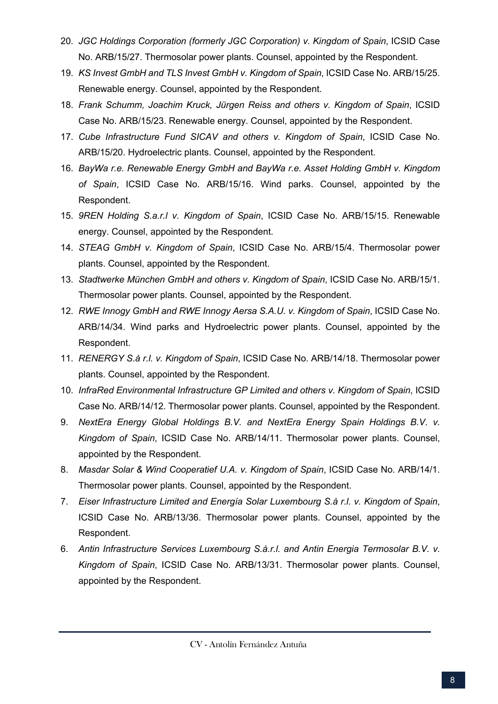- 20. *JGC Holdings Corporation (formerly JGC Corporation) v. Kingdom of Spain*, ICSID Case No. ARB/15/27. Thermosolar power plants. Counsel, appointed by the Respondent.
- 19. *KS Invest GmbH and TLS Invest GmbH v. Kingdom of Spain*, ICSID Case No. ARB/15/25. Renewable energy. Counsel, appointed by the Respondent.
- 18. *Frank Schumm, Joachim Kruck, Jürgen Reiss and others v. Kingdom of Spain*, ICSID Case No. ARB/15/23. Renewable energy. Counsel, appointed by the Respondent.
- 17. *Cube Infrastructure Fund SICAV and others v. Kingdom of Spain*, ICSID Case No. ARB/15/20. Hydroelectric plants. Counsel, appointed by the Respondent.
- 16. *BayWa r.e. Renewable Energy GmbH and BayWa r.e. Asset Holding GmbH v. Kingdom of Spain*, ICSID Case No. ARB/15/16. Wind parks. Counsel, appointed by the Respondent.
- 15. *9REN Holding S.a.r.l v. Kingdom of Spain*, ICSID Case No. ARB/15/15. Renewable energy. Counsel, appointed by the Respondent.
- 14. *STEAG GmbH v. Kingdom of Spain*, ICSID Case No. ARB/15/4. Thermosolar power plants. Counsel, appointed by the Respondent.
- 13. *Stadtwerke München GmbH and others v. Kingdom of Spain*, ICSID Case No. ARB/15/1. Thermosolar power plants. Counsel, appointed by the Respondent.
- 12. *RWE Innogy GmbH and RWE Innogy Aersa S.A.U. v. Kingdom of Spain*, ICSID Case No. ARB/14/34. Wind parks and Hydroelectric power plants. Counsel, appointed by the Respondent.
- 11. *RENERGY S.à r.l. v. Kingdom of Spain*, ICSID Case No. ARB/14/18. Thermosolar power plants. Counsel, appointed by the Respondent.
- 10. *InfraRed Environmental Infrastructure GP Limited and others v. Kingdom of Spain*, ICSID Case No. ARB/14/12. Thermosolar power plants. Counsel, appointed by the Respondent.
- 9. NextEra Energy Global Holdings B.V. and NextEra Energy Spain Holdings B.V. v. *Kingdom of Spain*, ICSID Case No. ARB/14/11. Thermosolar power plants. Counsel, appointed by the Respondent.
- 8. *Masdar Solar & Wind Cooperatief U.A. v. Kingdom of Spain*, ICSID Case No. ARB/14/1. Thermosolar power plants. Counsel, appointed by the Respondent.
- 7. *Eiser Infrastructure Limited and Energía Solar Luxembourg S.à r.l. v. Kingdom of Spain*, ICSID Case No. ARB/13/36. Thermosolar power plants. Counsel, appointed by the Respondent.
- 6. *Antin Infrastructure Services Luxembourg S.à.r.l. and Antin Energia Termosolar B.V. v. Kingdom of Spain*, ICSID Case No. ARB/13/31. Thermosolar power plants. Counsel, appointed by the Respondent.

CV - Antolín Fernández Antuña